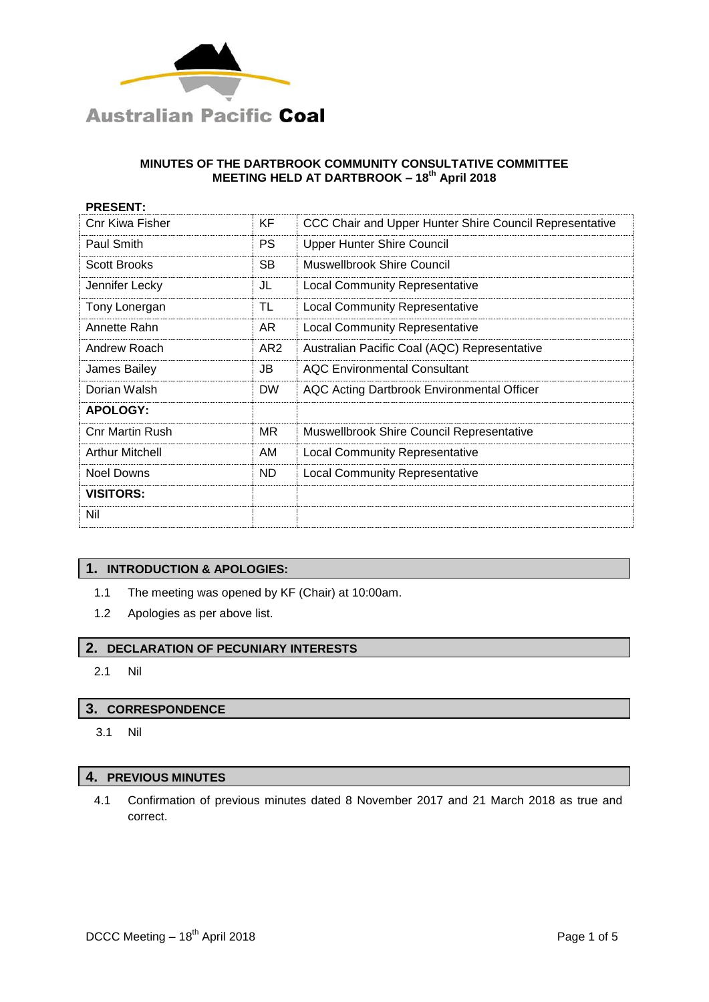

| <b>PRESENT:</b>        |                 |                                                         |
|------------------------|-----------------|---------------------------------------------------------|
| Cnr Kiwa Fisher        | KF              | CCC Chair and Upper Hunter Shire Council Representative |
| Paul Smith             | <b>PS</b>       | <b>Upper Hunter Shire Council</b>                       |
| <b>Scott Brooks</b>    | <b>SB</b>       | Muswellbrook Shire Council                              |
| Jennifer Lecky         | JL              | <b>Local Community Representative</b>                   |
| Tony Lonergan          | TL              | <b>Local Community Representative</b>                   |
| Annette Rahn           | AR.             | <b>Local Community Representative</b>                   |
| Andrew Roach           | AR <sub>2</sub> | Australian Pacific Coal (AQC) Representative            |
| James Bailey           | JB              | <b>AOC Environmental Consultant</b>                     |
| Dorian Walsh           | <b>DW</b>       | AQC Acting Dartbrook Environmental Officer              |
| <b>APOLOGY:</b>        |                 |                                                         |
| <b>Cnr Martin Rush</b> | MR.             | <b>Muswellbrook Shire Council Representative</b>        |
| <b>Arthur Mitchell</b> | AM              | <b>Local Community Representative</b>                   |
| Noel Downs             | ND.             | <b>Local Community Representative</b>                   |
| <b>VISITORS:</b>       |                 |                                                         |
| Nil                    |                 |                                                         |

## **1. INTRODUCTION & APOLOGIES:**

- 1.1 The meeting was opened by KF (Chair) at 10:00am.
- 1.2 Apologies as per above list.

## **2. DECLARATION OF PECUNIARY INTERESTS**

2.1 Nil

### **3. CORRESPONDENCE**

3.1 Nil

# **4. PREVIOUS MINUTES**

4.1 Confirmation of previous minutes dated 8 November 2017 and 21 March 2018 as true and correct.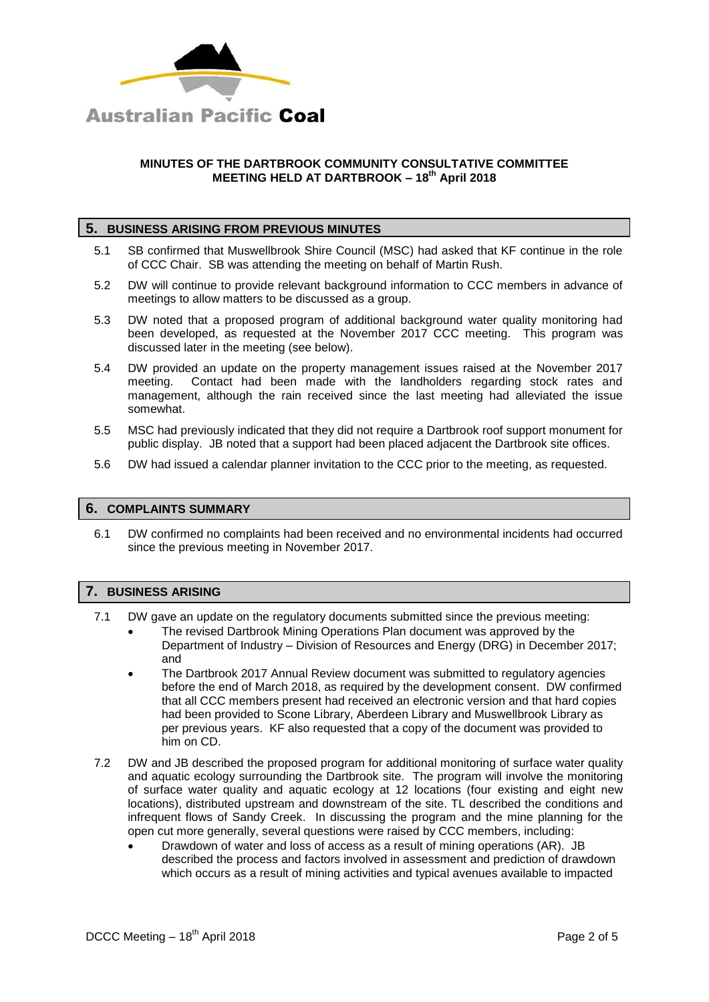

## **5. BUSINESS ARISING FROM PREVIOUS MINUTES**

- 5.1 SB confirmed that Muswellbrook Shire Council (MSC) had asked that KF continue in the role of CCC Chair. SB was attending the meeting on behalf of Martin Rush.
- 5.2 DW will continue to provide relevant background information to CCC members in advance of meetings to allow matters to be discussed as a group.
- 5.3 DW noted that a proposed program of additional background water quality monitoring had been developed, as requested at the November 2017 CCC meeting. This program was discussed later in the meeting (see below).
- 5.4 DW provided an update on the property management issues raised at the November 2017 meeting. Contact had been made with the landholders regarding stock rates and management, although the rain received since the last meeting had alleviated the issue somewhat.
- 5.5 MSC had previously indicated that they did not require a Dartbrook roof support monument for public display. JB noted that a support had been placed adjacent the Dartbrook site offices.
- 5.6 DW had issued a calendar planner invitation to the CCC prior to the meeting, as requested.

#### **6. COMPLAINTS SUMMARY**

6.1 DW confirmed no complaints had been received and no environmental incidents had occurred since the previous meeting in November 2017.

#### **7. BUSINESS ARISING**

- 7.1 DW gave an update on the regulatory documents submitted since the previous meeting:
	- The revised Dartbrook Mining Operations Plan document was approved by the Department of Industry – Division of Resources and Energy (DRG) in December 2017; and
	- The Dartbrook 2017 Annual Review document was submitted to regulatory agencies before the end of March 2018, as required by the development consent. DW confirmed that all CCC members present had received an electronic version and that hard copies had been provided to Scone Library, Aberdeen Library and Muswellbrook Library as per previous years. KF also requested that a copy of the document was provided to him on CD.
- 7.2 DW and JB described the proposed program for additional monitoring of surface water quality and aquatic ecology surrounding the Dartbrook site. The program will involve the monitoring of surface water quality and aquatic ecology at 12 locations (four existing and eight new locations), distributed upstream and downstream of the site. TL described the conditions and infrequent flows of Sandy Creek. In discussing the program and the mine planning for the open cut more generally, several questions were raised by CCC members, including:
	- Drawdown of water and loss of access as a result of mining operations (AR). JB described the process and factors involved in assessment and prediction of drawdown which occurs as a result of mining activities and typical avenues available to impacted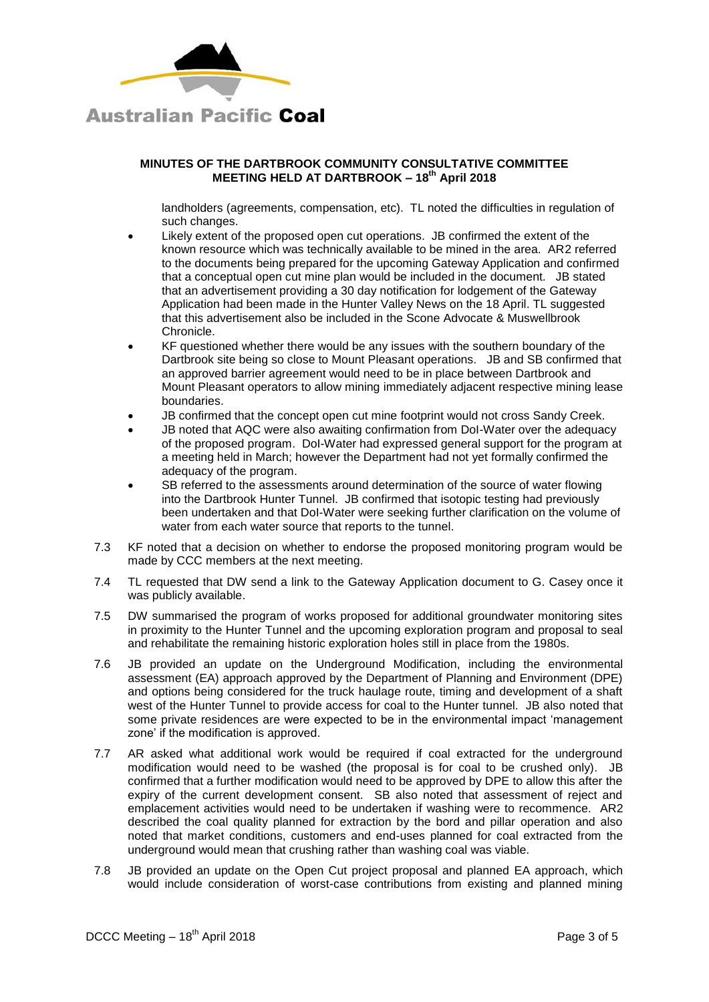

landholders (agreements, compensation, etc). TL noted the difficulties in regulation of such changes.

- Likely extent of the proposed open cut operations. JB confirmed the extent of the known resource which was technically available to be mined in the area. AR2 referred to the documents being prepared for the upcoming Gateway Application and confirmed that a conceptual open cut mine plan would be included in the document. JB stated that an advertisement providing a 30 day notification for lodgement of the Gateway Application had been made in the Hunter Valley News on the 18 April. TL suggested that this advertisement also be included in the Scone Advocate & Muswellbrook Chronicle.
- KF questioned whether there would be any issues with the southern boundary of the Dartbrook site being so close to Mount Pleasant operations. JB and SB confirmed that an approved barrier agreement would need to be in place between Dartbrook and Mount Pleasant operators to allow mining immediately adjacent respective mining lease boundaries.
- JB confirmed that the concept open cut mine footprint would not cross Sandy Creek.
- JB noted that AQC were also awaiting confirmation from DoI-Water over the adequacy of the proposed program. DoI-Water had expressed general support for the program at a meeting held in March; however the Department had not yet formally confirmed the adequacy of the program.
- SB referred to the assessments around determination of the source of water flowing into the Dartbrook Hunter Tunnel. JB confirmed that isotopic testing had previously been undertaken and that DoI-Water were seeking further clarification on the volume of water from each water source that reports to the tunnel.
- 7.3 KF noted that a decision on whether to endorse the proposed monitoring program would be made by CCC members at the next meeting.
- 7.4 TL requested that DW send a link to the Gateway Application document to G. Casey once it was publicly available.
- 7.5 DW summarised the program of works proposed for additional groundwater monitoring sites in proximity to the Hunter Tunnel and the upcoming exploration program and proposal to seal and rehabilitate the remaining historic exploration holes still in place from the 1980s.
- 7.6 JB provided an update on the Underground Modification, including the environmental assessment (EA) approach approved by the Department of Planning and Environment (DPE) and options being considered for the truck haulage route, timing and development of a shaft west of the Hunter Tunnel to provide access for coal to the Hunter tunnel. JB also noted that some private residences are were expected to be in the environmental impact 'management zone' if the modification is approved.
- 7.7 AR asked what additional work would be required if coal extracted for the underground modification would need to be washed (the proposal is for coal to be crushed only). JB confirmed that a further modification would need to be approved by DPE to allow this after the expiry of the current development consent. SB also noted that assessment of reject and emplacement activities would need to be undertaken if washing were to recommence. AR2 described the coal quality planned for extraction by the bord and pillar operation and also noted that market conditions, customers and end-uses planned for coal extracted from the underground would mean that crushing rather than washing coal was viable.
- 7.8 JB provided an update on the Open Cut project proposal and planned EA approach, which would include consideration of worst-case contributions from existing and planned mining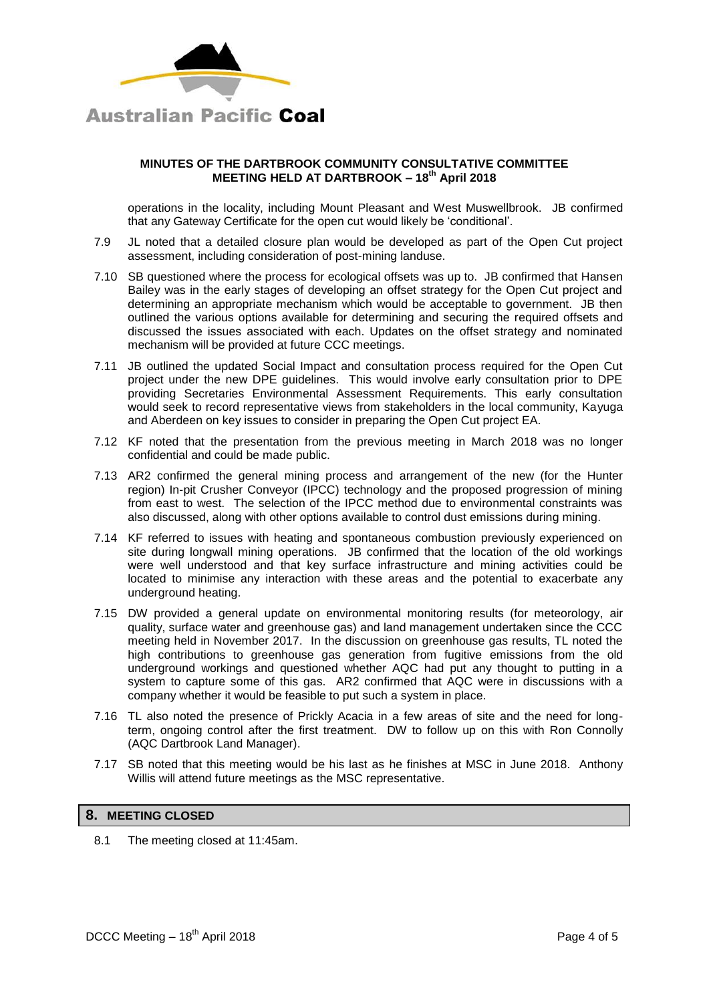

operations in the locality, including Mount Pleasant and West Muswellbrook. JB confirmed that any Gateway Certificate for the open cut would likely be 'conditional'.

- 7.9 JL noted that a detailed closure plan would be developed as part of the Open Cut project assessment, including consideration of post-mining landuse.
- 7.10 SB questioned where the process for ecological offsets was up to. JB confirmed that Hansen Bailey was in the early stages of developing an offset strategy for the Open Cut project and determining an appropriate mechanism which would be acceptable to government. JB then outlined the various options available for determining and securing the required offsets and discussed the issues associated with each. Updates on the offset strategy and nominated mechanism will be provided at future CCC meetings.
- 7.11 JB outlined the updated Social Impact and consultation process required for the Open Cut project under the new DPE guidelines. This would involve early consultation prior to DPE providing Secretaries Environmental Assessment Requirements. This early consultation would seek to record representative views from stakeholders in the local community, Kayuga and Aberdeen on key issues to consider in preparing the Open Cut project EA.
- 7.12 KF noted that the presentation from the previous meeting in March 2018 was no longer confidential and could be made public.
- 7.13 AR2 confirmed the general mining process and arrangement of the new (for the Hunter region) In-pit Crusher Conveyor (IPCC) technology and the proposed progression of mining from east to west. The selection of the IPCC method due to environmental constraints was also discussed, along with other options available to control dust emissions during mining.
- 7.14 KF referred to issues with heating and spontaneous combustion previously experienced on site during longwall mining operations. JB confirmed that the location of the old workings were well understood and that key surface infrastructure and mining activities could be located to minimise any interaction with these areas and the potential to exacerbate any underground heating.
- 7.15 DW provided a general update on environmental monitoring results (for meteorology, air quality, surface water and greenhouse gas) and land management undertaken since the CCC meeting held in November 2017. In the discussion on greenhouse gas results, TL noted the high contributions to greenhouse gas generation from fugitive emissions from the old underground workings and questioned whether AQC had put any thought to putting in a system to capture some of this gas. AR2 confirmed that AQC were in discussions with a company whether it would be feasible to put such a system in place.
- 7.16 TL also noted the presence of Prickly Acacia in a few areas of site and the need for longterm, ongoing control after the first treatment. DW to follow up on this with Ron Connolly (AQC Dartbrook Land Manager).
- 7.17 SB noted that this meeting would be his last as he finishes at MSC in June 2018. Anthony Willis will attend future meetings as the MSC representative.

## **8. MEETING CLOSED**

8.1 The meeting closed at 11:45am.